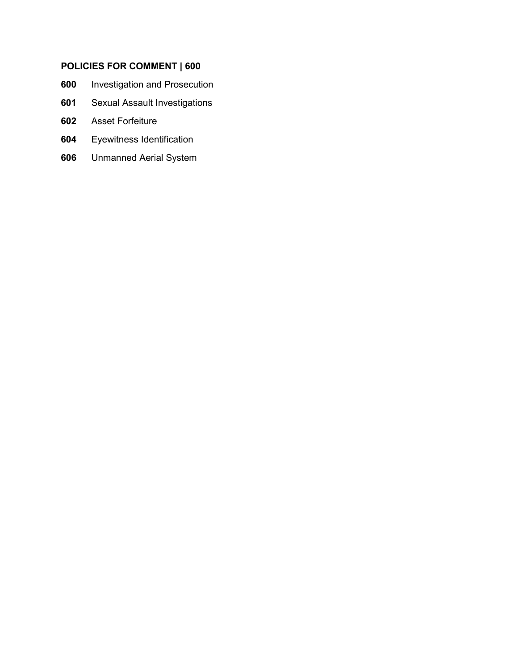# **POLICIES FOR COMMENT | 600**

- [Investigation and Prosecution](#page-1-0)
- [Sexual Assault Investigations](#page-7-0)
- [Asset Forfeiture](#page-11-0)
- [Eyewitness Identification](#page-18-0)
- [Unmanned Aerial System](#page-22-0)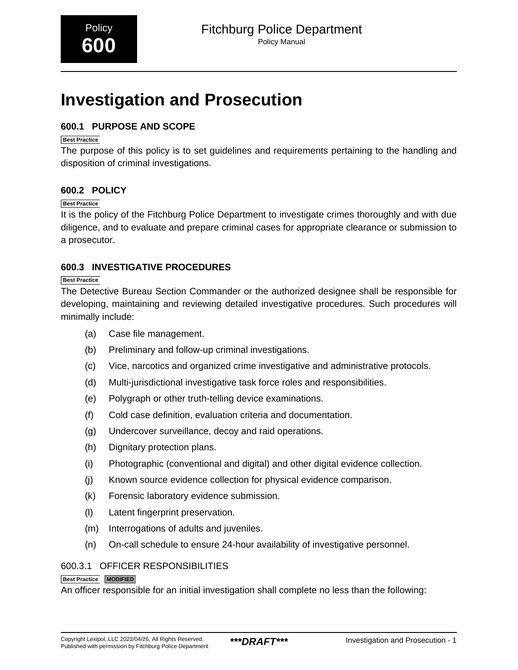# <span id="page-1-0"></span>**Investigation and Prosecution**

# **600.1 PURPOSE AND SCOPE**

# **Best Practice**

The purpose of this policy is to set guidelines and requirements pertaining to the handling and disposition of criminal investigations.

# **600.2 POLICY**

#### **Best Practice**

It is the policy of the Fitchburg Police Department to investigate crimes thoroughly and with due diligence, and to evaluate and prepare criminal cases for appropriate clearance or submission to a prosecutor.

# **600.3 INVESTIGATIVE PROCEDURES**

#### **Best Practice**

The Detective Bureau Section Commander or the authorized designee shall be responsible for developing, maintaining and reviewing detailed investigative procedures. Such procedures will minimally include:

- (a) Case file management.
- (b) Preliminary and follow-up criminal investigations.
- (c) Vice, narcotics and organized crime investigative and administrative protocols.
- (d) Multi-jurisdictional investigative task force roles and responsibilities.
- (e) Polygraph or other truth-telling device examinations.
- (f) Cold case definition, evaluation criteria and documentation.
- (g) Undercover surveillance, decoy and raid operations.
- (h) Dignitary protection plans.
- (i) Photographic (conventional and digital) and other digital evidence collection.
- (j) Known source evidence collection for physical evidence comparison.
- (k) Forensic laboratory evidence submission.
- (l) Latent fingerprint preservation.
- (m) Interrogations of adults and juveniles.
- (n) On-call schedule to ensure 24-hour availability of investigative personnel.

# 600.3.1 OFFICER RESPONSIBILITIES

#### **Best Practice MODIFIED**

An officer responsible for an initial investigation shall complete no less than the following: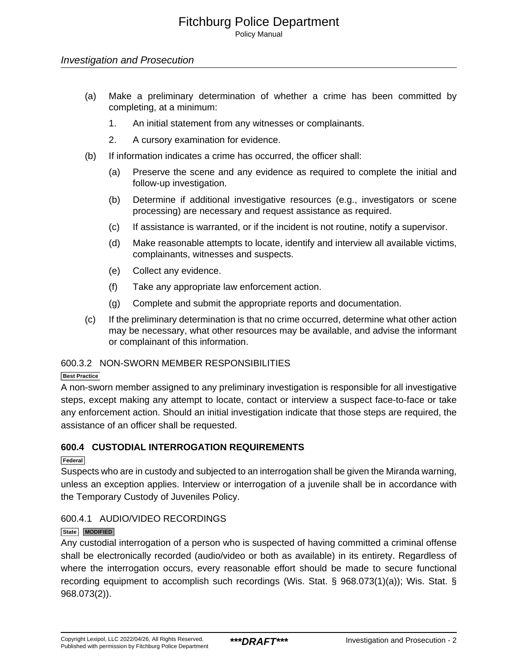#### Investigation and Prosecution

- (a) Make a preliminary determination of whether a crime has been committed by completing, at a minimum:
	- 1. An initial statement from any witnesses or complainants.
	- 2. A cursory examination for evidence.
- (b) If information indicates a crime has occurred, the officer shall:
	- (a) Preserve the scene and any evidence as required to complete the initial and follow-up investigation.
	- (b) Determine if additional investigative resources (e.g., investigators or scene processing) are necessary and request assistance as required.
	- (c) If assistance is warranted, or if the incident is not routine, notify a supervisor.
	- (d) Make reasonable attempts to locate, identify and interview all available victims, complainants, witnesses and suspects.
	- (e) Collect any evidence.
	- (f) Take any appropriate law enforcement action.
	- (g) Complete and submit the appropriate reports and documentation.
- (c) If the preliminary determination is that no crime occurred, determine what other action may be necessary, what other resources may be available, and advise the informant or complainant of this information.

#### 600.3.2 NON-SWORN MEMBER RESPONSIBILITIES

#### **Best Practice**

A non-sworn member assigned to any preliminary investigation is responsible for all investigative steps, except making any attempt to locate, contact or interview a suspect face-to-face or take any enforcement action. Should an initial investigation indicate that those steps are required, the assistance of an officer shall be requested.

# **600.4 CUSTODIAL INTERROGATION REQUIREMENTS**

#### **Federal**

Suspects who are in custody and subjected to an interrogation shall be given the Miranda warning, unless an exception applies. Interview or interrogation of a juvenile shall be in accordance with the Temporary Custody of Juveniles Policy.

# 600.4.1 AUDIO/VIDEO RECORDINGS

#### **State MODIFIED**

Any custodial interrogation of a person who is suspected of having committed a criminal offense shall be electronically recorded (audio/video or both as available) in its entirety. Regardless of where the interrogation occurs, every reasonable effort should be made to secure functional recording equipment to accomplish such recordings (Wis. Stat. § 968.073(1)(a)); Wis. Stat. § 968.073(2)).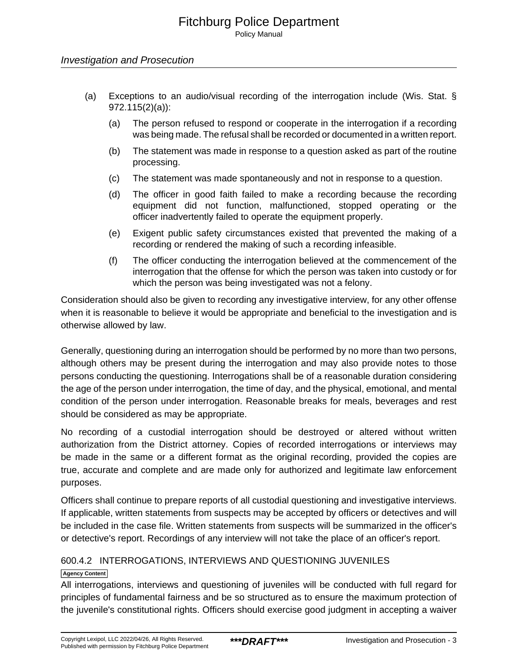# Investigation and Prosecution

- (a) Exceptions to an audio/visual recording of the interrogation include (Wis. Stat. § 972.115(2)(a)):
	- (a) The person refused to respond or cooperate in the interrogation if a recording was being made. The refusal shall be recorded or documented in a written report.
	- (b) The statement was made in response to a question asked as part of the routine processing.
	- (c) The statement was made spontaneously and not in response to a question.
	- (d) The officer in good faith failed to make a recording because the recording equipment did not function, malfunctioned, stopped operating or the officer inadvertently failed to operate the equipment properly.
	- (e) Exigent public safety circumstances existed that prevented the making of a recording or rendered the making of such a recording infeasible.
	- (f) The officer conducting the interrogation believed at the commencement of the interrogation that the offense for which the person was taken into custody or for which the person was being investigated was not a felony.

Consideration should also be given to recording any investigative interview, for any other offense when it is reasonable to believe it would be appropriate and beneficial to the investigation and is otherwise allowed by law.

Generally, questioning during an interrogation should be performed by no more than two persons, although others may be present during the interrogation and may also provide notes to those persons conducting the questioning. Interrogations shall be of a reasonable duration considering the age of the person under interrogation, the time of day, and the physical, emotional, and mental condition of the person under interrogation. Reasonable breaks for meals, beverages and rest should be considered as may be appropriate.

No recording of a custodial interrogation should be destroyed or altered without written authorization from the District attorney. Copies of recorded interrogations or interviews may be made in the same or a different format as the original recording, provided the copies are true, accurate and complete and are made only for authorized and legitimate law enforcement purposes.

Officers shall continue to prepare reports of all custodial questioning and investigative interviews. If applicable, written statements from suspects may be accepted by officers or detectives and will be included in the case file. Written statements from suspects will be summarized in the officer's or detective's report. Recordings of any interview will not take the place of an officer's report.

# 600.4.2 INTERROGATIONS, INTERVIEWS AND QUESTIONING JUVENILES

# **Agency Content**

All interrogations, interviews and questioning of juveniles will be conducted with full regard for principles of fundamental fairness and be so structured as to ensure the maximum protection of the juvenile's constitutional rights. Officers should exercise good judgment in accepting a waiver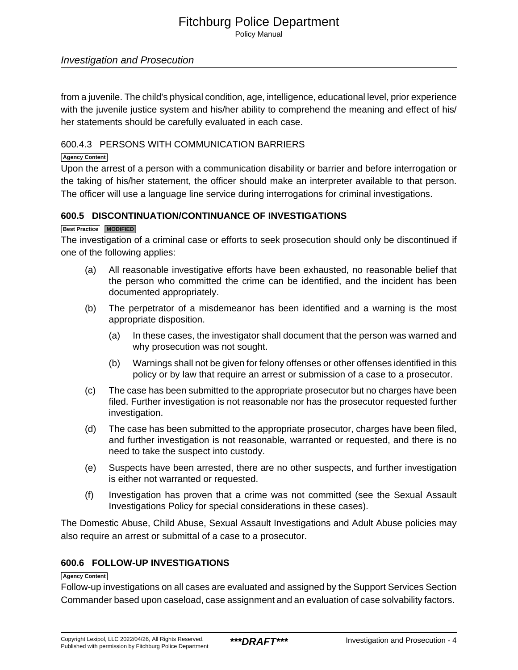Policy Manual

# Investigation and Prosecution

from a juvenile. The child's physical condition, age, intelligence, educational level, prior experience with the juvenile justice system and his/her ability to comprehend the meaning and effect of his/ her statements should be carefully evaluated in each case.

# 600.4.3 PERSONS WITH COMMUNICATION BARRIERS

#### **Agency Content**

Upon the arrest of a person with a communication disability or barrier and before interrogation or the taking of his/her statement, the officer should make an interpreter available to that person. The officer will use a language line service during interrogations for criminal investigations.

# **600.5 DISCONTINUATION/CONTINUANCE OF INVESTIGATIONS**

#### **Best Practice MODIFIED**

The investigation of a criminal case or efforts to seek prosecution should only be discontinued if one of the following applies:

- (a) All reasonable investigative efforts have been exhausted, no reasonable belief that the person who committed the crime can be identified, and the incident has been documented appropriately.
- (b) The perpetrator of a misdemeanor has been identified and a warning is the most appropriate disposition.
	- (a) In these cases, the investigator shall document that the person was warned and why prosecution was not sought.
	- (b) Warnings shall not be given for felony offenses or other offenses identified in this policy or by law that require an arrest or submission of a case to a prosecutor.
- (c) The case has been submitted to the appropriate prosecutor but no charges have been filed. Further investigation is not reasonable nor has the prosecutor requested further investigation.
- (d) The case has been submitted to the appropriate prosecutor, charges have been filed, and further investigation is not reasonable, warranted or requested, and there is no need to take the suspect into custody.
- (e) Suspects have been arrested, there are no other suspects, and further investigation is either not warranted or requested.
- (f) Investigation has proven that a crime was not committed (see the Sexual Assault Investigations Policy for special considerations in these cases).

The Domestic Abuse, Child Abuse, Sexual Assault Investigations and Adult Abuse policies may also require an arrest or submittal of a case to a prosecutor.

# **600.6 FOLLOW-UP INVESTIGATIONS**

#### **Agency Content**

Follow-up investigations on all cases are evaluated and assigned by the Support Services Section Commander based upon caseload, case assignment and an evaluation of case solvability factors.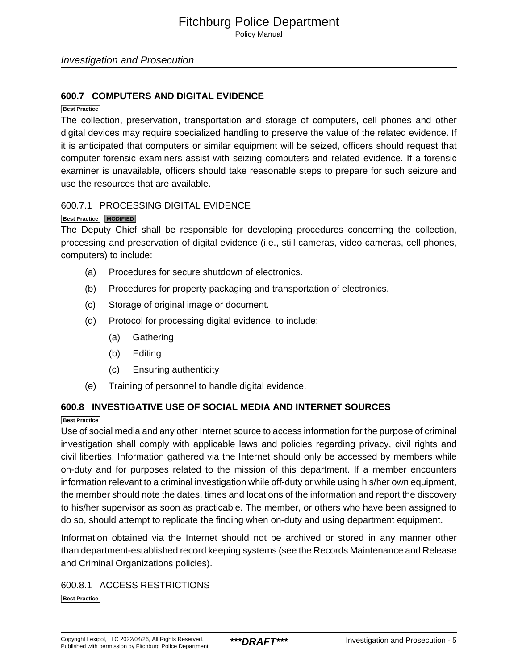Policy Manual

#### **600.7 COMPUTERS AND DIGITAL EVIDENCE**

#### **Best Practice**

The collection, preservation, transportation and storage of computers, cell phones and other digital devices may require specialized handling to preserve the value of the related evidence. If it is anticipated that computers or similar equipment will be seized, officers should request that computer forensic examiners assist with seizing computers and related evidence. If a forensic examiner is unavailable, officers should take reasonable steps to prepare for such seizure and use the resources that are available.

#### 600.7.1 PROCESSING DIGITAL EVIDENCE

#### **Best Practice MODIFIED**

The Deputy Chief shall be responsible for developing procedures concerning the collection, processing and preservation of digital evidence (i.e., still cameras, video cameras, cell phones, computers) to include:

- (a) Procedures for secure shutdown of electronics.
- (b) Procedures for property packaging and transportation of electronics.
- (c) Storage of original image or document.
- (d) Protocol for processing digital evidence, to include:
	- (a) Gathering
	- (b) Editing
	- (c) Ensuring authenticity
- (e) Training of personnel to handle digital evidence.

#### **600.8 INVESTIGATIVE USE OF SOCIAL MEDIA AND INTERNET SOURCES**

#### **Best Practice**

Use of social media and any other Internet source to access information for the purpose of criminal investigation shall comply with applicable laws and policies regarding privacy, civil rights and civil liberties. Information gathered via the Internet should only be accessed by members while on-duty and for purposes related to the mission of this department. If a member encounters information relevant to a criminal investigation while off-duty or while using his/her own equipment, the member should note the dates, times and locations of the information and report the discovery to his/her supervisor as soon as practicable. The member, or others who have been assigned to do so, should attempt to replicate the finding when on-duty and using department equipment.

Information obtained via the Internet should not be archived or stored in any manner other than department-established record keeping systems (see the Records Maintenance and Release and Criminal Organizations policies).

600.8.1 ACCESS RESTRICTIONS **Best Practice**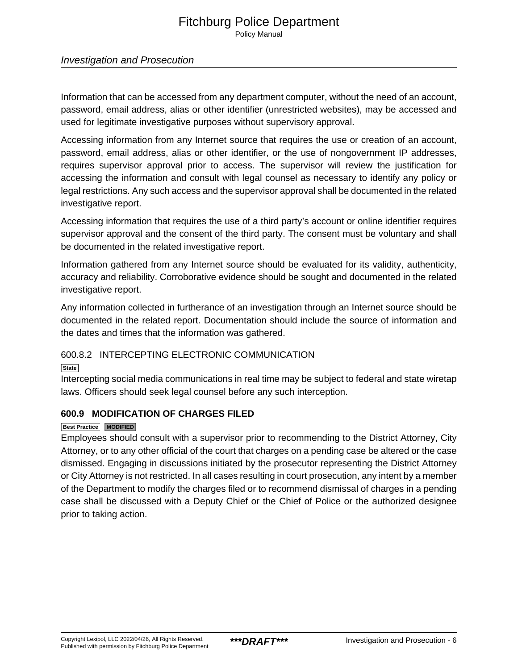Policy Manual

# Investigation and Prosecution

Information that can be accessed from any department computer, without the need of an account, password, email address, alias or other identifier (unrestricted websites), may be accessed and used for legitimate investigative purposes without supervisory approval.

Accessing information from any Internet source that requires the use or creation of an account, password, email address, alias or other identifier, or the use of nongovernment IP addresses, requires supervisor approval prior to access. The supervisor will review the justification for accessing the information and consult with legal counsel as necessary to identify any policy or legal restrictions. Any such access and the supervisor approval shall be documented in the related investigative report.

Accessing information that requires the use of a third party's account or online identifier requires supervisor approval and the consent of the third party. The consent must be voluntary and shall be documented in the related investigative report.

Information gathered from any Internet source should be evaluated for its validity, authenticity, accuracy and reliability. Corroborative evidence should be sought and documented in the related investigative report.

Any information collected in furtherance of an investigation through an Internet source should be documented in the related report. Documentation should include the source of information and the dates and times that the information was gathered.

# 600.8.2 INTERCEPTING ELECTRONIC COMMUNICATION

**State**

Intercepting social media communications in real time may be subject to federal and state wiretap laws. Officers should seek legal counsel before any such interception.

# **600.9 MODIFICATION OF CHARGES FILED**

#### **Best Practice MODIFIED**

Employees should consult with a supervisor prior to recommending to the District Attorney, City Attorney, or to any other official of the court that charges on a pending case be altered or the case dismissed. Engaging in discussions initiated by the prosecutor representing the District Attorney or City Attorney is not restricted. In all cases resulting in court prosecution, any intent by a member of the Department to modify the charges filed or to recommend dismissal of charges in a pending case shall be discussed with a Deputy Chief or the Chief of Police or the authorized designee prior to taking action.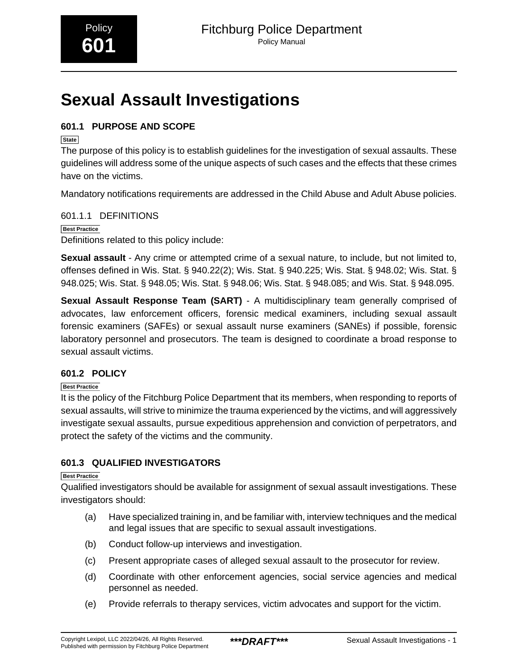# <span id="page-7-0"></span>**Sexual Assault Investigations**

# **601.1 PURPOSE AND SCOPE**

**State**

The purpose of this policy is to establish guidelines for the investigation of sexual assaults. These guidelines will address some of the unique aspects of such cases and the effects that these crimes have on the victims.

Mandatory notifications requirements are addressed in the Child Abuse and Adult Abuse policies.

601.1.1 DEFINITIONS **Best Practice** Definitions related to this policy include:

**Sexual assault** - Any crime or attempted crime of a sexual nature, to include, but not limited to, offenses defined in Wis. Stat. § 940.22(2); Wis. Stat. § 940.225; Wis. Stat. § 948.02; Wis. Stat. § 948.025; Wis. Stat. § 948.05; Wis. Stat. § 948.06; Wis. Stat. § 948.085; and Wis. Stat. § 948.095.

**Sexual Assault Response Team (SART)** - A multidisciplinary team generally comprised of advocates, law enforcement officers, forensic medical examiners, including sexual assault forensic examiners (SAFEs) or sexual assault nurse examiners (SANEs) if possible, forensic laboratory personnel and prosecutors. The team is designed to coordinate a broad response to sexual assault victims.

# **601.2 POLICY**

**Best Practice**

It is the policy of the Fitchburg Police Department that its members, when responding to reports of sexual assaults, will strive to minimize the trauma experienced by the victims, and will aggressively investigate sexual assaults, pursue expeditious apprehension and conviction of perpetrators, and protect the safety of the victims and the community.

# **601.3 QUALIFIED INVESTIGATORS**

**Best Practice**

Qualified investigators should be available for assignment of sexual assault investigations. These investigators should:

- (a) Have specialized training in, and be familiar with, interview techniques and the medical and legal issues that are specific to sexual assault investigations.
- (b) Conduct follow-up interviews and investigation.
- (c) Present appropriate cases of alleged sexual assault to the prosecutor for review.
- (d) Coordinate with other enforcement agencies, social service agencies and medical personnel as needed.
- (e) Provide referrals to therapy services, victim advocates and support for the victim.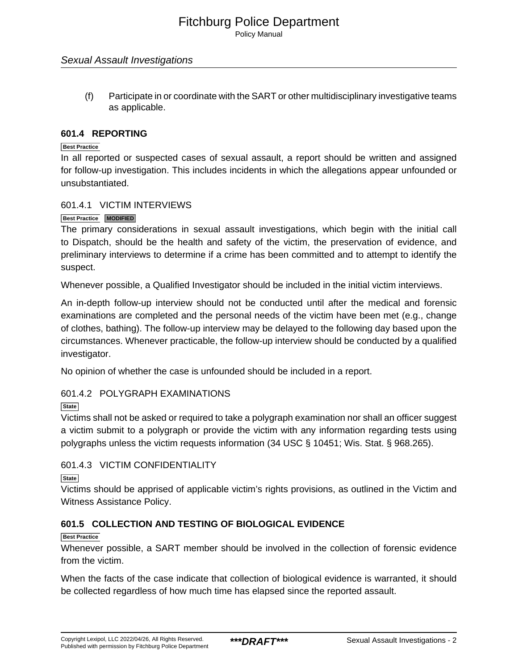Policy Manual

#### Sexual Assault Investigations

(f) Participate in or coordinate with the SART or other multidisciplinary investigative teams as applicable.

#### **601.4 REPORTING**

#### **Best Practice**

In all reported or suspected cases of sexual assault, a report should be written and assigned for follow-up investigation. This includes incidents in which the allegations appear unfounded or unsubstantiated.

#### 601.4.1 VICTIM INTERVIEWS

#### **Best Practice MODIFIED**

The primary considerations in sexual assault investigations, which begin with the initial call to Dispatch, should be the health and safety of the victim, the preservation of evidence, and preliminary interviews to determine if a crime has been committed and to attempt to identify the suspect.

Whenever possible, a Qualified Investigator should be included in the initial victim interviews.

An in-depth follow-up interview should not be conducted until after the medical and forensic examinations are completed and the personal needs of the victim have been met (e.g., change of clothes, bathing). The follow-up interview may be delayed to the following day based upon the circumstances. Whenever practicable, the follow-up interview should be conducted by a qualified investigator.

No opinion of whether the case is unfounded should be included in a report.

# 601.4.2 POLYGRAPH EXAMINATIONS

**State**

Victims shall not be asked or required to take a polygraph examination nor shall an officer suggest a victim submit to a polygraph or provide the victim with any information regarding tests using polygraphs unless the victim requests information (34 USC § 10451; Wis. Stat. § 968.265).

# 601.4.3 VICTIM CONFIDENTIALITY

**State**

Victims should be apprised of applicable victim's rights provisions, as outlined in the Victim and Witness Assistance Policy.

# **601.5 COLLECTION AND TESTING OF BIOLOGICAL EVIDENCE**

#### **Best Practice**

Whenever possible, a SART member should be involved in the collection of forensic evidence from the victim.

When the facts of the case indicate that collection of biological evidence is warranted, it should be collected regardless of how much time has elapsed since the reported assault.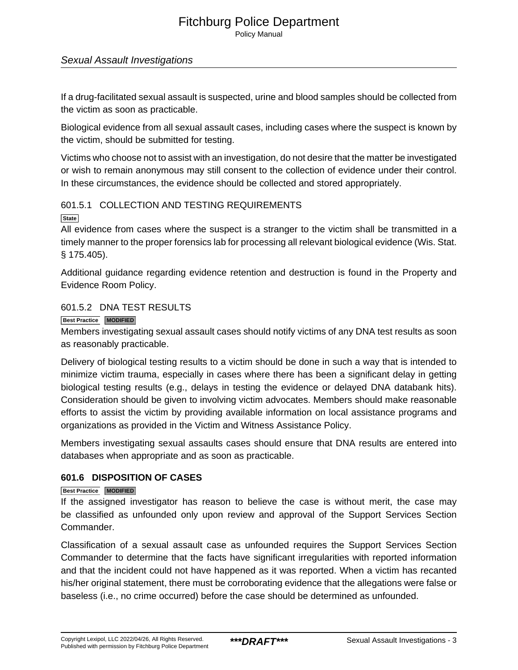Policy Manual

# Sexual Assault Investigations

If a drug-facilitated sexual assault is suspected, urine and blood samples should be collected from the victim as soon as practicable.

Biological evidence from all sexual assault cases, including cases where the suspect is known by the victim, should be submitted for testing.

Victims who choose not to assist with an investigation, do not desire that the matter be investigated or wish to remain anonymous may still consent to the collection of evidence under their control. In these circumstances, the evidence should be collected and stored appropriately.

# 601.5.1 COLLECTION AND TESTING REQUIREMENTS

**State**

All evidence from cases where the suspect is a stranger to the victim shall be transmitted in a timely manner to the proper forensics lab for processing all relevant biological evidence (Wis. Stat. § 175.405).

Additional guidance regarding evidence retention and destruction is found in the Property and Evidence Room Policy.

# 601.5.2 DNA TEST RESULTS

**Best Practice MODIFIED**

Members investigating sexual assault cases should notify victims of any DNA test results as soon as reasonably practicable.

Delivery of biological testing results to a victim should be done in such a way that is intended to minimize victim trauma, especially in cases where there has been a significant delay in getting biological testing results (e.g., delays in testing the evidence or delayed DNA databank hits). Consideration should be given to involving victim advocates. Members should make reasonable efforts to assist the victim by providing available information on local assistance programs and organizations as provided in the Victim and Witness Assistance Policy.

Members investigating sexual assaults cases should ensure that DNA results are entered into databases when appropriate and as soon as practicable.

# **601.6 DISPOSITION OF CASES**

#### **Best Practice MODIFIED**

If the assigned investigator has reason to believe the case is without merit, the case may be classified as unfounded only upon review and approval of the Support Services Section Commander.

Classification of a sexual assault case as unfounded requires the Support Services Section Commander to determine that the facts have significant irregularities with reported information and that the incident could not have happened as it was reported. When a victim has recanted his/her original statement, there must be corroborating evidence that the allegations were false or baseless (i.e., no crime occurred) before the case should be determined as unfounded.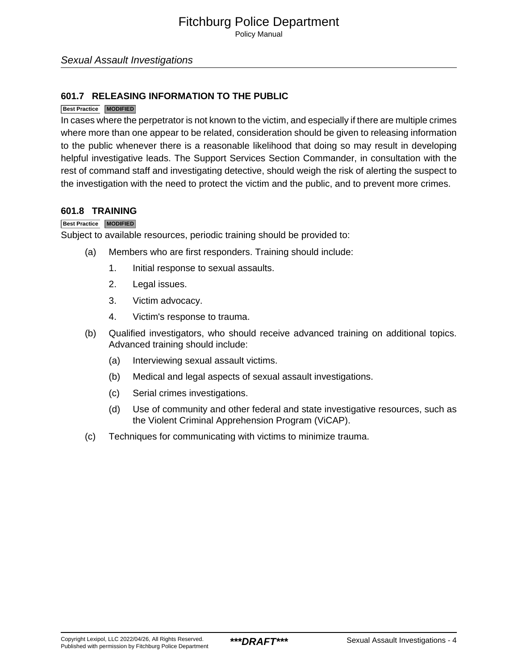Policy Manual

# **601.7 RELEASING INFORMATION TO THE PUBLIC**

#### **Best Practice MODIFIED**

In cases where the perpetrator is not known to the victim, and especially if there are multiple crimes where more than one appear to be related, consideration should be given to releasing information to the public whenever there is a reasonable likelihood that doing so may result in developing helpful investigative leads. The Support Services Section Commander, in consultation with the rest of command staff and investigating detective, should weigh the risk of alerting the suspect to the investigation with the need to protect the victim and the public, and to prevent more crimes.

#### **601.8 TRAINING**

#### **Best Practice MODIFIED**

Subject to available resources, periodic training should be provided to:

- (a) Members who are first responders. Training should include:
	- 1. Initial response to sexual assaults.
	- 2. Legal issues.
	- 3. Victim advocacy.
	- 4. Victim's response to trauma.
- (b) Qualified investigators, who should receive advanced training on additional topics. Advanced training should include:
	- (a) Interviewing sexual assault victims.
	- (b) Medical and legal aspects of sexual assault investigations.
	- (c) Serial crimes investigations.
	- (d) Use of community and other federal and state investigative resources, such as the Violent Criminal Apprehension Program (ViCAP).
- (c) Techniques for communicating with victims to minimize trauma.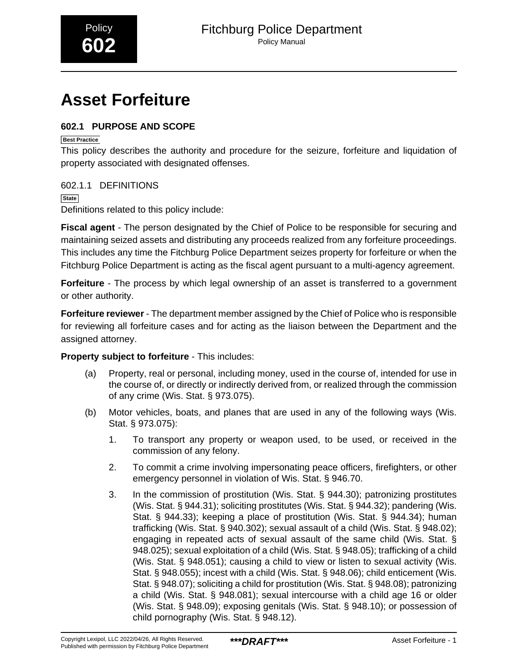# <span id="page-11-0"></span>**Asset Forfeiture**

# **602.1 PURPOSE AND SCOPE**

**Best Practice**

This policy describes the authority and procedure for the seizure, forfeiture and liquidation of property associated with designated offenses.

# 602.1.1 DEFINITIONS

**State** Definitions related to this policy include:

**Fiscal agent** - The person designated by the Chief of Police to be responsible for securing and maintaining seized assets and distributing any proceeds realized from any forfeiture proceedings. This includes any time the Fitchburg Police Department seizes property for forfeiture or when the Fitchburg Police Department is acting as the fiscal agent pursuant to a multi-agency agreement.

**Forfeiture** - The process by which legal ownership of an asset is transferred to a government or other authority.

**Forfeiture reviewer** - The department member assigned by the Chief of Police who is responsible for reviewing all forfeiture cases and for acting as the liaison between the Department and the assigned attorney.

**Property subject to forfeiture** - This includes:

- (a) Property, real or personal, including money, used in the course of, intended for use in the course of, or directly or indirectly derived from, or realized through the commission of any crime (Wis. Stat. § 973.075).
- (b) Motor vehicles, boats, and planes that are used in any of the following ways (Wis. Stat. § 973.075):
	- 1. To transport any property or weapon used, to be used, or received in the commission of any felony.
	- 2. To commit a crime involving impersonating peace officers, firefighters, or other emergency personnel in violation of Wis. Stat. § 946.70.
	- 3. In the commission of prostitution (Wis. Stat. § 944.30); patronizing prostitutes (Wis. Stat. § 944.31); soliciting prostitutes (Wis. Stat. § 944.32); pandering (Wis. Stat. § 944.33); keeping a place of prostitution (Wis. Stat. § 944.34); human trafficking (Wis. Stat. § 940.302); sexual assault of a child (Wis. Stat. § 948.02); engaging in repeated acts of sexual assault of the same child (Wis. Stat. § 948.025); sexual exploitation of a child (Wis. Stat. § 948.05); trafficking of a child (Wis. Stat. § 948.051); causing a child to view or listen to sexual activity (Wis. Stat. § 948.055); incest with a child (Wis. Stat. § 948.06); child enticement (Wis. Stat. § 948.07); soliciting a child for prostitution (Wis. Stat. § 948.08); patronizing a child (Wis. Stat. § 948.081); sexual intercourse with a child age 16 or older (Wis. Stat. § 948.09); exposing genitals (Wis. Stat. § 948.10); or possession of child pornography (Wis. Stat. § 948.12).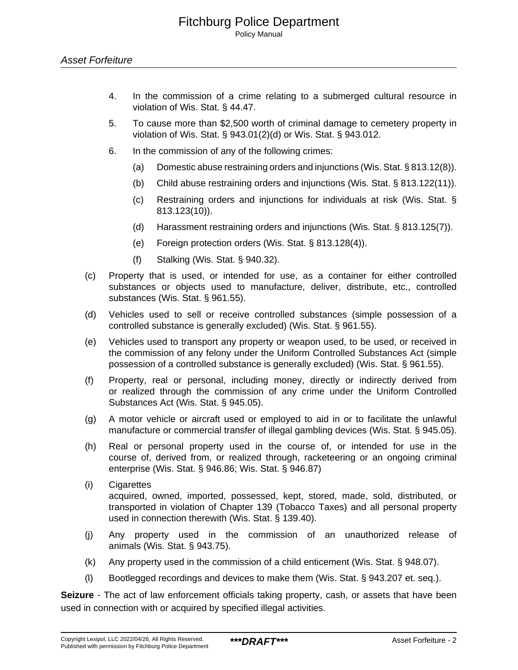- 4. In the commission of a crime relating to a submerged cultural resource in violation of Wis. Stat. § 44.47.
- 5. To cause more than \$2,500 worth of criminal damage to cemetery property in violation of Wis. Stat. § 943.01(2)(d) or Wis. Stat. § 943.012.
- 6. In the commission of any of the following crimes:
	- (a) Domestic abuse restraining orders and injunctions (Wis. Stat. § 813.12(8)).
	- (b) Child abuse restraining orders and injunctions (Wis. Stat. § 813.122(11)).
	- (c) Restraining orders and injunctions for individuals at risk (Wis. Stat. § 813.123(10)).
	- (d) Harassment restraining orders and injunctions (Wis. Stat. § 813.125(7)).
	- (e) Foreign protection orders (Wis. Stat. § 813.128(4)).
	- (f) Stalking (Wis. Stat. § 940.32).
- (c) Property that is used, or intended for use, as a container for either controlled substances or objects used to manufacture, deliver, distribute, etc., controlled substances (Wis. Stat. § 961.55).
- (d) Vehicles used to sell or receive controlled substances (simple possession of a controlled substance is generally excluded) (Wis. Stat. § 961.55).
- (e) Vehicles used to transport any property or weapon used, to be used, or received in the commission of any felony under the Uniform Controlled Substances Act (simple possession of a controlled substance is generally excluded) (Wis. Stat. § 961.55).
- (f) Property, real or personal, including money, directly or indirectly derived from or realized through the commission of any crime under the Uniform Controlled Substances Act (Wis. Stat. § 945.05).
- (g) A motor vehicle or aircraft used or employed to aid in or to facilitate the unlawful manufacture or commercial transfer of illegal gambling devices (Wis. Stat. § 945.05).
- (h) Real or personal property used in the course of, or intended for use in the course of, derived from, or realized through, racketeering or an ongoing criminal enterprise (Wis. Stat. § 946.86; Wis. Stat. § 946.87)
- (i) Cigarettes acquired, owned, imported, possessed, kept, stored, made, sold, distributed, or transported in violation of Chapter 139 (Tobacco Taxes) and all personal property used in connection therewith (Wis. Stat. § 139.40).
- (j) Any property used in the commission of an unauthorized release of animals (Wis. Stat. § 943.75).
- (k) Any property used in the commission of a child enticement (Wis. Stat. § 948.07).
- (l) Bootlegged recordings and devices to make them (Wis. Stat. § 943.207 et. seq.).

**Seizure** - The act of law enforcement officials taking property, cash, or assets that have been used in connection with or acquired by specified illegal activities.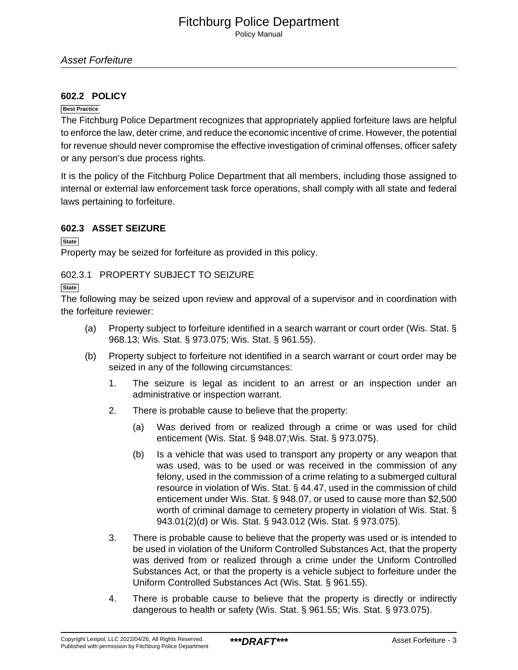Policy Manual

# **602.2 POLICY**

#### **Best Practice**

The Fitchburg Police Department recognizes that appropriately applied forfeiture laws are helpful to enforce the law, deter crime, and reduce the economic incentive of crime. However, the potential for revenue should never compromise the effective investigation of criminal offenses, officer safety or any person's due process rights.

It is the policy of the Fitchburg Police Department that all members, including those assigned to internal or external law enforcement task force operations, shall comply with all state and federal laws pertaining to forfeiture.

# **602.3 ASSET SEIZURE**

**State**

Property may be seized for forfeiture as provided in this policy.

# 602.3.1 PROPERTY SUBJECT TO SEIZURE

**State**

The following may be seized upon review and approval of a supervisor and in coordination with the forfeiture reviewer:

- (a) Property subject to forfeiture identified in a search warrant or court order (Wis. Stat. § 968.13; Wis. Stat. § 973.075; Wis. Stat. § 961.55).
- (b) Property subject to forfeiture not identified in a search warrant or court order may be seized in any of the following circumstances:
	- 1. The seizure is legal as incident to an arrest or an inspection under an administrative or inspection warrant.
	- 2. There is probable cause to believe that the property:
		- (a) Was derived from or realized through a crime or was used for child enticement (Wis. Stat. § 948.07;Wis. Stat. § 973.075).
		- (b) Is a vehicle that was used to transport any property or any weapon that was used, was to be used or was received in the commission of any felony, used in the commission of a crime relating to a submerged cultural resource in violation of Wis. Stat. § 44.47, used in the commission of child enticement under Wis. Stat. § 948.07, or used to cause more than \$2,500 worth of criminal damage to cemetery property in violation of Wis. Stat. § 943.01(2)(d) or Wis. Stat. § 943.012 (Wis. Stat. § 973.075).
	- 3. There is probable cause to believe that the property was used or is intended to be used in violation of the Uniform Controlled Substances Act, that the property was derived from or realized through a crime under the Uniform Controlled Substances Act, or that the property is a vehicle subject to forfeiture under the Uniform Controlled Substances Act (Wis. Stat. § 961.55).
	- 4. There is probable cause to believe that the property is directly or indirectly dangerous to health or safety (Wis. Stat. § 961.55; Wis. Stat. § 973.075).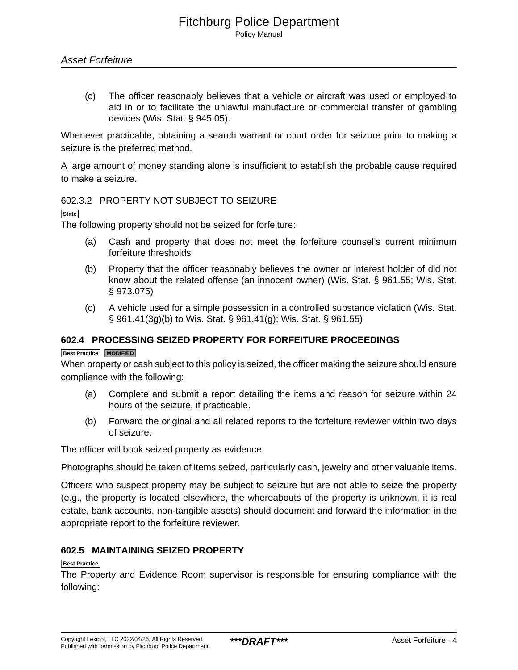(c) The officer reasonably believes that a vehicle or aircraft was used or employed to aid in or to facilitate the unlawful manufacture or commercial transfer of gambling devices (Wis. Stat. § 945.05).

Whenever practicable, obtaining a search warrant or court order for seizure prior to making a seizure is the preferred method.

A large amount of money standing alone is insufficient to establish the probable cause required to make a seizure.

# 602.3.2 PROPERTY NOT SUBJECT TO SEIZURE

**State**

The following property should not be seized for forfeiture:

- (a) Cash and property that does not meet the forfeiture counsel's current minimum forfeiture thresholds
- (b) Property that the officer reasonably believes the owner or interest holder of did not know about the related offense (an innocent owner) (Wis. Stat. § 961.55; Wis. Stat. § 973.075)
- (c) A vehicle used for a simple possession in a controlled substance violation (Wis. Stat. § 961.41(3g)(b) to Wis. Stat. § 961.41(g); Wis. Stat. § 961.55)

# **602.4 PROCESSING SEIZED PROPERTY FOR FORFEITURE PROCEEDINGS**

#### **Best Practice MODIFIED**

When property or cash subject to this policy is seized, the officer making the seizure should ensure compliance with the following:

- (a) Complete and submit a report detailing the items and reason for seizure within 24 hours of the seizure, if practicable.
- (b) Forward the original and all related reports to the forfeiture reviewer within two days of seizure.

The officer will book seized property as evidence.

Photographs should be taken of items seized, particularly cash, jewelry and other valuable items.

Officers who suspect property may be subject to seizure but are not able to seize the property (e.g., the property is located elsewhere, the whereabouts of the property is unknown, it is real estate, bank accounts, non-tangible assets) should document and forward the information in the appropriate report to the forfeiture reviewer.

# **602.5 MAINTAINING SEIZED PROPERTY**

#### **Best Practice**

The Property and Evidence Room supervisor is responsible for ensuring compliance with the following: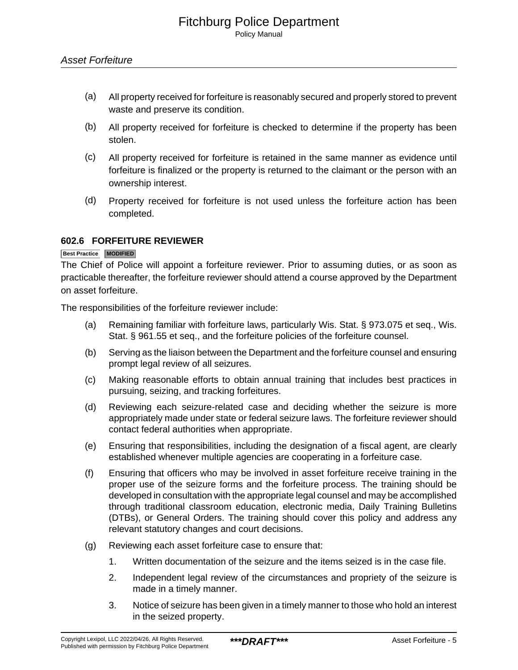- (a) All property received for forfeiture is reasonably secured and properly stored to prevent waste and preserve its condition.
- (b) All property received for forfeiture is checked to determine if the property has been stolen.
- (c) All property received for forfeiture is retained in the same manner as evidence until forfeiture is finalized or the property is returned to the claimant or the person with an ownership interest.
- (d) Property received for forfeiture is not used unless the forfeiture action has been completed.

# **602.6 FORFEITURE REVIEWER**

#### **Best Practice MODIFIED**

The Chief of Police will appoint a forfeiture reviewer. Prior to assuming duties, or as soon as practicable thereafter, the forfeiture reviewer should attend a course approved by the Department on asset forfeiture.

The responsibilities of the forfeiture reviewer include:

- (a) Remaining familiar with forfeiture laws, particularly Wis. Stat. § 973.075 et seq., Wis. Stat. § 961.55 et seq., and the forfeiture policies of the forfeiture counsel.
- (b) Serving as the liaison between the Department and the forfeiture counsel and ensuring prompt legal review of all seizures.
- (c) Making reasonable efforts to obtain annual training that includes best practices in pursuing, seizing, and tracking forfeitures.
- (d) Reviewing each seizure-related case and deciding whether the seizure is more appropriately made under state or federal seizure laws. The forfeiture reviewer should contact federal authorities when appropriate.
- (e) Ensuring that responsibilities, including the designation of a fiscal agent, are clearly established whenever multiple agencies are cooperating in a forfeiture case.
- (f) Ensuring that officers who may be involved in asset forfeiture receive training in the proper use of the seizure forms and the forfeiture process. The training should be developed in consultation with the appropriate legal counsel and may be accomplished through traditional classroom education, electronic media, Daily Training Bulletins (DTBs), or General Orders. The training should cover this policy and address any relevant statutory changes and court decisions.
- (g) Reviewing each asset forfeiture case to ensure that:
	- 1. Written documentation of the seizure and the items seized is in the case file.
	- 2. Independent legal review of the circumstances and propriety of the seizure is made in a timely manner.
	- 3. Notice of seizure has been given in a timely manner to those who hold an interest in the seized property.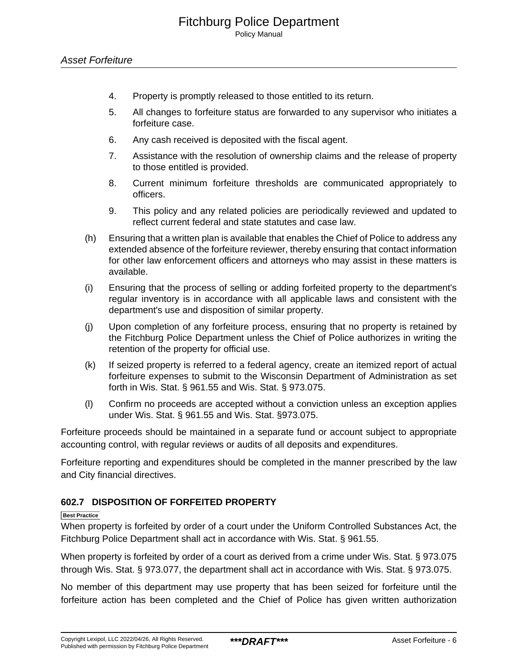- 4. Property is promptly released to those entitled to its return.
- 5. All changes to forfeiture status are forwarded to any supervisor who initiates a forfeiture case.
- 6. Any cash received is deposited with the fiscal agent.
- 7. Assistance with the resolution of ownership claims and the release of property to those entitled is provided.
- 8. Current minimum forfeiture thresholds are communicated appropriately to officers.
- 9. This policy and any related policies are periodically reviewed and updated to reflect current federal and state statutes and case law.
- (h) Ensuring that a written plan is available that enables the Chief of Police to address any extended absence of the forfeiture reviewer, thereby ensuring that contact information for other law enforcement officers and attorneys who may assist in these matters is available.
- (i) Ensuring that the process of selling or adding forfeited property to the department's regular inventory is in accordance with all applicable laws and consistent with the department's use and disposition of similar property.
- (j) Upon completion of any forfeiture process, ensuring that no property is retained by the Fitchburg Police Department unless the Chief of Police authorizes in writing the retention of the property for official use.
- (k) If seized property is referred to a federal agency, create an itemized report of actual forfeiture expenses to submit to the Wisconsin Department of Administration as set forth in Wis. Stat. § 961.55 and Wis. Stat. § 973.075.
- (l) Confirm no proceeds are accepted without a conviction unless an exception applies under Wis. Stat. § 961.55 and Wis. Stat. §973.075.

Forfeiture proceeds should be maintained in a separate fund or account subject to appropriate accounting control, with regular reviews or audits of all deposits and expenditures.

Forfeiture reporting and expenditures should be completed in the manner prescribed by the law and City financial directives.

# **602.7 DISPOSITION OF FORFEITED PROPERTY**

#### **Best Practice**

When property is forfeited by order of a court under the Uniform Controlled Substances Act, the Fitchburg Police Department shall act in accordance with Wis. Stat. § 961.55.

When property is forfeited by order of a court as derived from a crime under Wis. Stat. § 973.075 through Wis. Stat. § 973.077, the department shall act in accordance with Wis. Stat. § 973.075.

No member of this department may use property that has been seized for forfeiture until the forfeiture action has been completed and the Chief of Police has given written authorization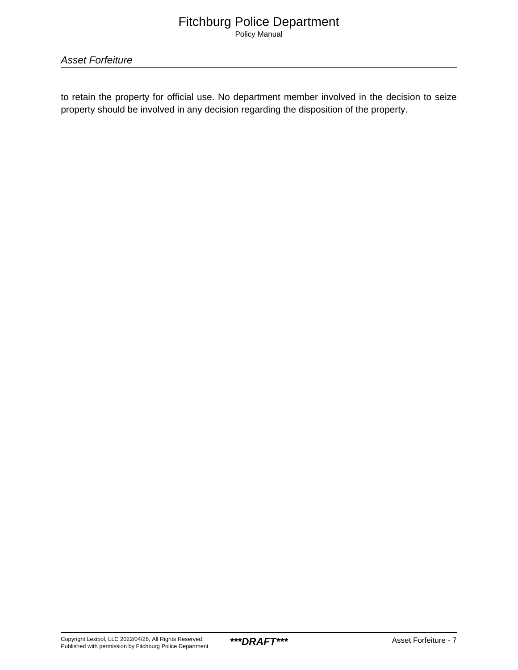to retain the property for official use. No department member involved in the decision to seize property should be involved in any decision regarding the disposition of the property.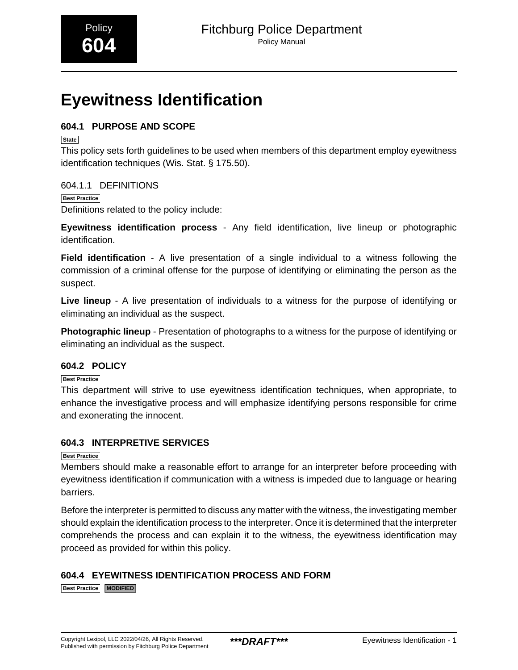# <span id="page-18-0"></span>**Eyewitness Identification**

# **604.1 PURPOSE AND SCOPE**

**State**

This policy sets forth guidelines to be used when members of this department employ eyewitness identification techniques (Wis. Stat. § 175.50).

# 604.1.1 DEFINITIONS

**Best Practice** Definitions related to the policy include:

**Eyewitness identification process** - Any field identification, live lineup or photographic identification.

**Field identification** - A live presentation of a single individual to a witness following the commission of a criminal offense for the purpose of identifying or eliminating the person as the suspect.

**Live lineup** - A live presentation of individuals to a witness for the purpose of identifying or eliminating an individual as the suspect.

**Photographic lineup** - Presentation of photographs to a witness for the purpose of identifying or eliminating an individual as the suspect.

# **604.2 POLICY**

**Best Practice**

This department will strive to use eyewitness identification techniques, when appropriate, to enhance the investigative process and will emphasize identifying persons responsible for crime and exonerating the innocent.

# **604.3 INTERPRETIVE SERVICES**

# **Best Practice**

Members should make a reasonable effort to arrange for an interpreter before proceeding with eyewitness identification if communication with a witness is impeded due to language or hearing barriers.

Before the interpreter is permitted to discuss any matter with the witness, the investigating member should explain the identification process to the interpreter. Once it is determined that the interpreter comprehends the process and can explain it to the witness, the eyewitness identification may proceed as provided for within this policy.

# **604.4 EYEWITNESS IDENTIFICATION PROCESS AND FORM**

**Best Practice MODIFIED**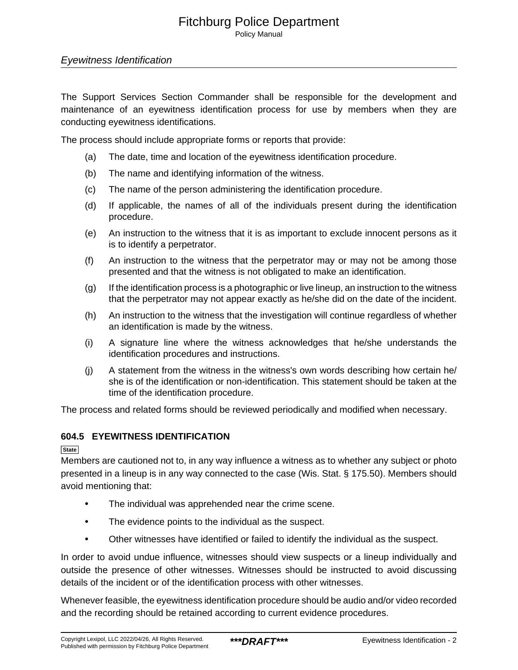Policy Manual

# Eyewitness Identification

The Support Services Section Commander shall be responsible for the development and maintenance of an eyewitness identification process for use by members when they are conducting eyewitness identifications.

The process should include appropriate forms or reports that provide:

- (a) The date, time and location of the eyewitness identification procedure.
- (b) The name and identifying information of the witness.
- (c) The name of the person administering the identification procedure.
- (d) If applicable, the names of all of the individuals present during the identification procedure.
- (e) An instruction to the witness that it is as important to exclude innocent persons as it is to identify a perpetrator.
- (f) An instruction to the witness that the perpetrator may or may not be among those presented and that the witness is not obligated to make an identification.
- (g) If the identification process is a photographic or live lineup, an instruction to the witness that the perpetrator may not appear exactly as he/she did on the date of the incident.
- (h) An instruction to the witness that the investigation will continue regardless of whether an identification is made by the witness.
- (i) A signature line where the witness acknowledges that he/she understands the identification procedures and instructions.
- (j) A statement from the witness in the witness's own words describing how certain he/ she is of the identification or non-identification. This statement should be taken at the time of the identification procedure.

The process and related forms should be reviewed periodically and modified when necessary.

# **604.5 EYEWITNESS IDENTIFICATION**

**State**

Members are cautioned not to, in any way influence a witness as to whether any subject or photo presented in a lineup is in any way connected to the case (Wis. Stat. § 175.50). Members should avoid mentioning that:

- The individual was apprehended near the crime scene.
- The evidence points to the individual as the suspect.
- Other witnesses have identified or failed to identify the individual as the suspect.

In order to avoid undue influence, witnesses should view suspects or a lineup individually and outside the presence of other witnesses. Witnesses should be instructed to avoid discussing details of the incident or of the identification process with other witnesses.

Whenever feasible, the eyewitness identification procedure should be audio and/or video recorded and the recording should be retained according to current evidence procedures.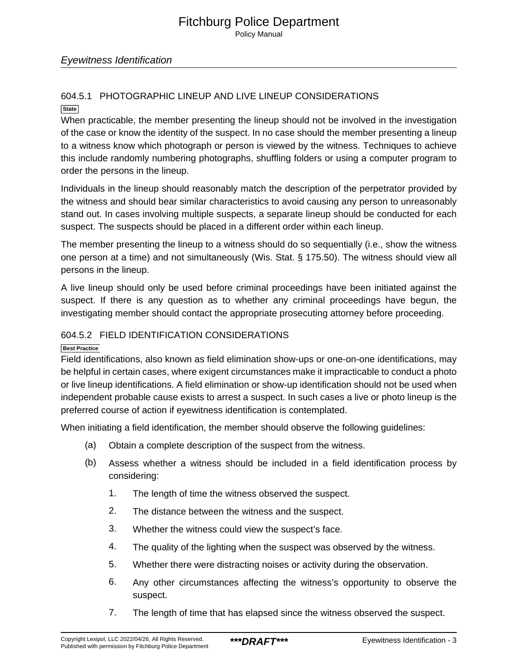Policy Manual

# Eyewitness Identification

#### 604.5.1 PHOTOGRAPHIC LINEUP AND LIVE LINEUP CONSIDERATIONS **State**

When practicable, the member presenting the lineup should not be involved in the investigation of the case or know the identity of the suspect. In no case should the member presenting a lineup to a witness know which photograph or person is viewed by the witness. Techniques to achieve this include randomly numbering photographs, shuffling folders or using a computer program to order the persons in the lineup.

Individuals in the lineup should reasonably match the description of the perpetrator provided by the witness and should bear similar characteristics to avoid causing any person to unreasonably stand out. In cases involving multiple suspects, a separate lineup should be conducted for each suspect. The suspects should be placed in a different order within each lineup.

The member presenting the lineup to a witness should do so sequentially (i.e., show the witness one person at a time) and not simultaneously (Wis. Stat. § 175.50). The witness should view all persons in the lineup.

A live lineup should only be used before criminal proceedings have been initiated against the suspect. If there is any question as to whether any criminal proceedings have begun, the investigating member should contact the appropriate prosecuting attorney before proceeding.

# 604.5.2 FIELD IDENTIFICATION CONSIDERATIONS

#### **Best Practice**

Field identifications, also known as field elimination show-ups or one-on-one identifications, may be helpful in certain cases, where exigent circumstances make it impracticable to conduct a photo or live lineup identifications. A field elimination or show-up identification should not be used when independent probable cause exists to arrest a suspect. In such cases a live or photo lineup is the preferred course of action if eyewitness identification is contemplated.

When initiating a field identification, the member should observe the following guidelines:

- (a) Obtain a complete description of the suspect from the witness.
- (b) Assess whether a witness should be included in a field identification process by considering:
	- 1. The length of time the witness observed the suspect.
	- 2. The distance between the witness and the suspect.
	- 3. Whether the witness could view the suspect's face.
	- 4. The quality of the lighting when the suspect was observed by the witness.
	- 5. Whether there were distracting noises or activity during the observation.
	- 6. Any other circumstances affecting the witness's opportunity to observe the suspect.
	- 7. The length of time that has elapsed since the witness observed the suspect.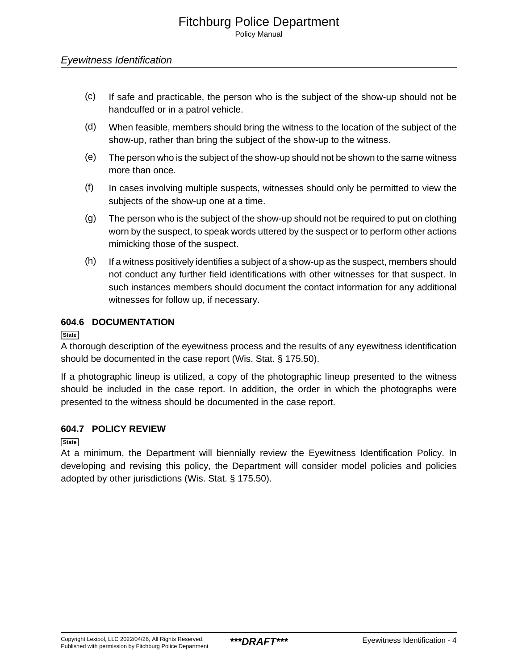- (c) If safe and practicable, the person who is the subject of the show-up should not be handcuffed or in a patrol vehicle.
- (d) When feasible, members should bring the witness to the location of the subject of the show-up, rather than bring the subject of the show-up to the witness.
- (e) The person who is the subject of the show-up should not be shown to the same witness more than once.
- (f) In cases involving multiple suspects, witnesses should only be permitted to view the subjects of the show-up one at a time.
- (g) The person who is the subject of the show-up should not be required to put on clothing worn by the suspect, to speak words uttered by the suspect or to perform other actions mimicking those of the suspect.
- (h) If a witness positively identifies a subject of a show-up as the suspect, members should not conduct any further field identifications with other witnesses for that suspect. In such instances members should document the contact information for any additional witnesses for follow up, if necessary.

# **604.6 DOCUMENTATION**

**State**

A thorough description of the eyewitness process and the results of any eyewitness identification should be documented in the case report (Wis. Stat. § 175.50).

If a photographic lineup is utilized, a copy of the photographic lineup presented to the witness should be included in the case report. In addition, the order in which the photographs were presented to the witness should be documented in the case report.

# **604.7 POLICY REVIEW**

**State**

At a minimum, the Department will biennially review the Eyewitness Identification Policy. In developing and revising this policy, the Department will consider model policies and policies adopted by other jurisdictions (Wis. Stat. § 175.50).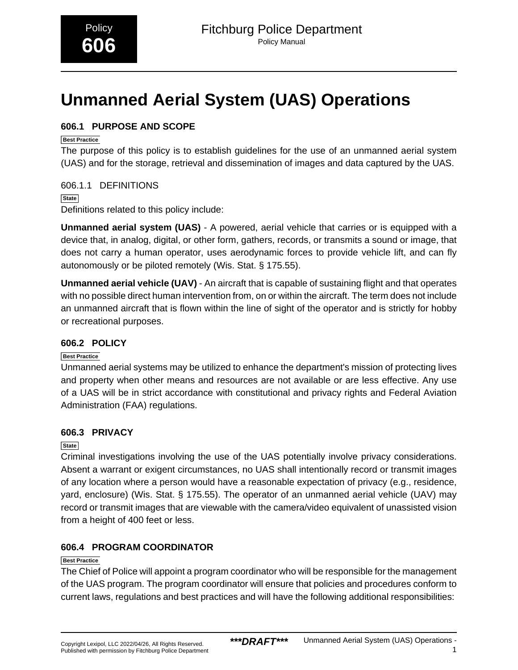# <span id="page-22-0"></span>**Unmanned Aerial System (UAS) Operations**

# **606.1 PURPOSE AND SCOPE**

# **Best Practice**

The purpose of this policy is to establish guidelines for the use of an unmanned aerial system (UAS) and for the storage, retrieval and dissemination of images and data captured by the UAS.

# 606.1.1 DEFINITIONS

**State** Definitions related to this policy include:

**Unmanned aerial system (UAS)** - A powered, aerial vehicle that carries or is equipped with a device that, in analog, digital, or other form, gathers, records, or transmits a sound or image, that does not carry a human operator, uses aerodynamic forces to provide vehicle lift, and can fly autonomously or be piloted remotely (Wis. Stat. § 175.55).

**Unmanned aerial vehicle (UAV)** - An aircraft that is capable of sustaining flight and that operates with no possible direct human intervention from, on or within the aircraft. The term does not include an unmanned aircraft that is flown within the line of sight of the operator and is strictly for hobby or recreational purposes.

# **606.2 POLICY**

# **Best Practice**

Unmanned aerial systems may be utilized to enhance the department's mission of protecting lives and property when other means and resources are not available or are less effective. Any use of a UAS will be in strict accordance with constitutional and privacy rights and Federal Aviation Administration (FAA) regulations.

# **606.3 PRIVACY**

# **State**

Criminal investigations involving the use of the UAS potentially involve privacy considerations. Absent a warrant or exigent circumstances, no UAS shall intentionally record or transmit images of any location where a person would have a reasonable expectation of privacy (e.g., residence, yard, enclosure) (Wis. Stat. § 175.55). The operator of an unmanned aerial vehicle (UAV) may record or transmit images that are viewable with the camera/video equivalent of unassisted vision from a height of 400 feet or less.

# **606.4 PROGRAM COORDINATOR**

# **Best Practice**

The Chief of Police will appoint a program coordinator who will be responsible for the management of the UAS program. The program coordinator will ensure that policies and procedures conform to current laws, regulations and best practices and will have the following additional responsibilities: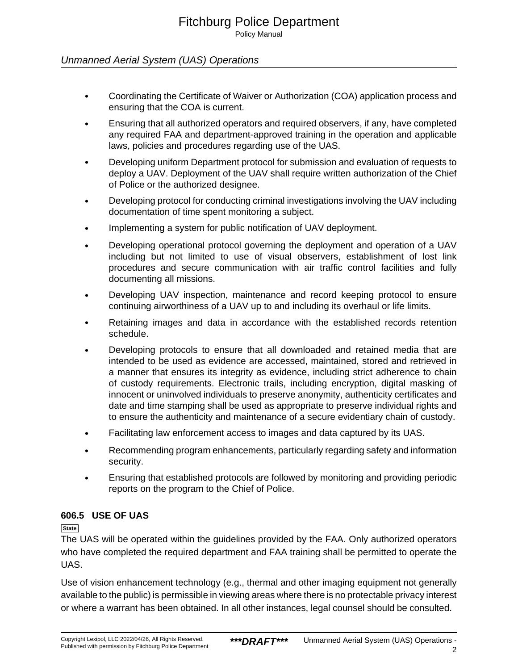Policy Manual

# Unmanned Aerial System (UAS) Operations

- Coordinating the Certificate of Waiver or Authorization (COA) application process and ensuring that the COA is current.
- Ensuring that all authorized operators and required observers, if any, have completed any required FAA and department-approved training in the operation and applicable laws, policies and procedures regarding use of the UAS.
- Developing uniform Department protocol for submission and evaluation of requests to deploy a UAV. Deployment of the UAV shall require written authorization of the Chief of Police or the authorized designee.
- Developing protocol for conducting criminal investigations involving the UAV including documentation of time spent monitoring a subject.
- Implementing a system for public notification of UAV deployment.
- Developing operational protocol governing the deployment and operation of a UAV including but not limited to use of visual observers, establishment of lost link procedures and secure communication with air traffic control facilities and fully documenting all missions.
- Developing UAV inspection, maintenance and record keeping protocol to ensure continuing airworthiness of a UAV up to and including its overhaul or life limits.
- Retaining images and data in accordance with the established records retention schedule.
- Developing protocols to ensure that all downloaded and retained media that are intended to be used as evidence are accessed, maintained, stored and retrieved in a manner that ensures its integrity as evidence, including strict adherence to chain of custody requirements. Electronic trails, including encryption, digital masking of innocent or uninvolved individuals to preserve anonymity, authenticity certificates and date and time stamping shall be used as appropriate to preserve individual rights and to ensure the authenticity and maintenance of a secure evidentiary chain of custody.
- Facilitating law enforcement access to images and data captured by its UAS.
- Recommending program enhancements, particularly regarding safety and information security.
- Ensuring that established protocols are followed by monitoring and providing periodic reports on the program to the Chief of Police.

# **606.5 USE OF UAS**

**State**

The UAS will be operated within the guidelines provided by the FAA. Only authorized operators who have completed the required department and FAA training shall be permitted to operate the UAS.

Use of vision enhancement technology (e.g., thermal and other imaging equipment not generally available to the public) is permissible in viewing areas where there is no protectable privacy interest or where a warrant has been obtained. In all other instances, legal counsel should be consulted.